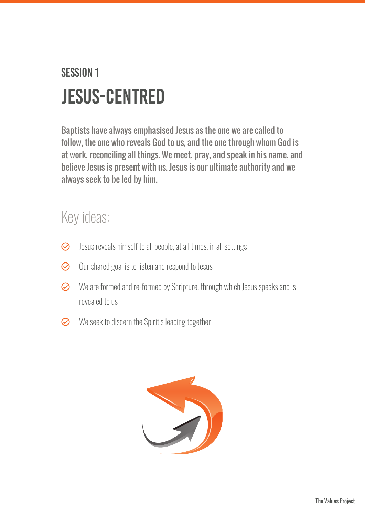## Session 1 JESUS-CENTRED

Baptists have always emphasised Jesus as the one we are called to follow, the one who reveals God to us, and the one through whom God is at work, reconciling all things. We meet, pray, and speak in his name, and believe Jesus is present with us. Jesus is our ultimate authority and we always seek to be led by him.

## Key ideas:

- $\odot$  Jesus reveals himself to all people, at all times, in all settings
- $\odot$  Our shared goal is to listen and respond to Jesus
- $\odot$  We are formed and re-formed by Scripture, through which Jesus speaks and is revealed to us
- $\odot$  We seek to discern the Spirit's leading together